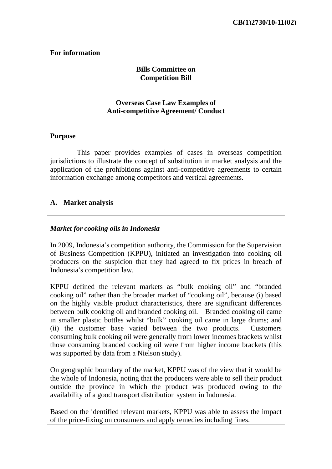#### **For information**

# **Bills Committee on Competition Bill**

## **Overseas Case Law Examples of Anti-competitive Agreement/ Conduct**

#### **Purpose**

 This paper provides examples of cases in overseas competition jurisdictions to illustrate the concept of substitution in market analysis and the application of the prohibitions against anti-competitive agreements to certain information exchange among competitors and vertical agreements.

# **A. Market analysis**

## *Market for cooking oils in Indonesia*

In 2009, Indonesia's competition authority, the Commission for the Supervision of Business Competition (KPPU), initiated an investigation into cooking oil producers on the suspicion that they had agreed to fix prices in breach of Indonesia's competition law.

KPPU defined the relevant markets as "bulk cooking oil" and "branded cooking oil" rather than the broader market of "cooking oil", because (i) based on the highly visible product characteristics, there are significant differences between bulk cooking oil and branded cooking oil. Branded cooking oil came in smaller plastic bottles whilst "bulk" cooking oil came in large drums; and (ii) the customer base varied between the two products. Customers consuming bulk cooking oil were generally from lower incomes brackets whilst those consuming branded cooking oil were from higher income brackets (this was supported by data from a Nielson study).

On geographic boundary of the market, KPPU was of the view that it would be the whole of Indonesia, noting that the producers were able to sell their product outside the province in which the product was produced owing to the availability of a good transport distribution system in Indonesia.

Based on the identified relevant markets, KPPU was able to assess the impact of the price-fixing on consumers and apply remedies including fines.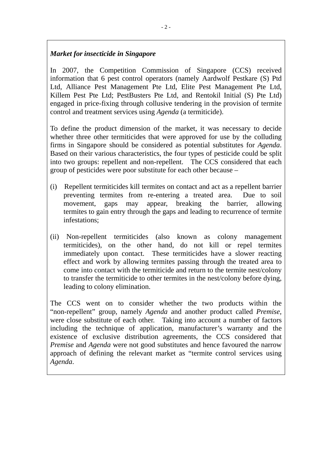# *Market for insecticide in Singapore*

In 2007, the Competition Commission of Singapore (CCS) received information that 6 pest control operators (namely Aardwolf Pestkare (S) Ptd Ltd, Alliance Pest Management Pte Ltd, Elite Pest Management Pte Ltd, Killem Pest Pte Ltd; PestBusters Pte Ltd, and Rentokil Initial (S) Pte Ltd) engaged in price-fixing through collusive tendering in the provision of termite control and treatment services using *Agenda* (a termiticide).

To define the product dimension of the market, it was necessary to decide whether three other termiticides that were approved for use by the colluding firms in Singapore should be considered as potential substitutes for *Agenda*. Based on their various characteristics, the four types of pesticide could be split into two groups: repellent and non-repellent. The CCS considered that each group of pesticides were poor substitute for each other because –

- (i) Repellent termiticides kill termites on contact and act as a repellent barrier preventing termites from re-entering a treated area. Due to soil movement, gaps may appear, breaking the barrier, allowing termites to gain entry through the gaps and leading to recurrence of termite infestations;
- (ii) Non-repellent termiticides (also known as colony management termiticides), on the other hand, do not kill or repel termites immediately upon contact. These termiticides have a slower reacting effect and work by allowing termites passing through the treated area to come into contact with the termiticide and return to the termite nest/colony to transfer the termiticide to other termites in the nest/colony before dying, leading to colony elimination.

The CCS went on to consider whether the two products within the "non-repellent" group, namely *Agenda* and another product called *Premise*, were close substitute of each other. Taking into account a number of factors including the technique of application, manufacturer's warranty and the existence of exclusive distribution agreements, the CCS considered that *Premise* and *Agenda* were not good substitutes and hence favoured the narrow approach of defining the relevant market as "termite control services using *Agenda*.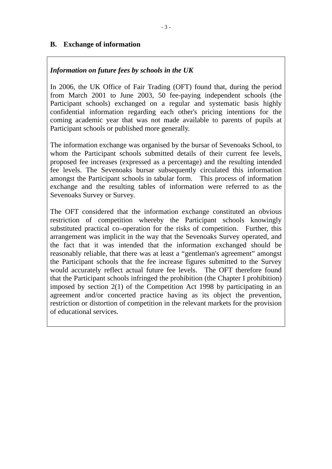# **B. Exchange of information**

## *Information on future fees by schools in the UK*

In 2006, the UK Office of Fair Trading (OFT) found that, during the period from March 2001 to June 2003, 50 fee-paying independent schools (the Participant schools) exchanged on a regular and systematic basis highly confidential information regarding each other's pricing intentions for the coming academic year that was not made available to parents of pupils at Participant schools or published more generally.

The information exchange was organised by the bursar of Sevenoaks School, to whom the Participant schools submitted details of their current fee levels, proposed fee increases (expressed as a percentage) and the resulting intended fee levels. The Sevenoaks bursar subsequently circulated this information amongst the Participant schools in tabular form. This process of information exchange and the resulting tables of information were referred to as the Sevenoaks Survey or Survey.

The OFT considered that the information exchange constituted an obvious restriction of competition whereby the Participant schools knowingly substituted practical co–operation for the risks of competition. Further, this arrangement was implicit in the way that the Sevenoaks Survey operated, and the fact that it was intended that the information exchanged should be reasonably reliable, that there was at least a "gentleman's agreement" amongst the Participant schools that the fee increase figures submitted to the Survey would accurately reflect actual future fee levels. The OFT therefore found that the Participant schools infringed the prohibition (the Chapter I prohibition) imposed by section 2(1) of the Competition Act 1998 by participating in an agreement and/or concerted practice having as its object the prevention, restriction or distortion of competition in the relevant markets for the provision of educational services.